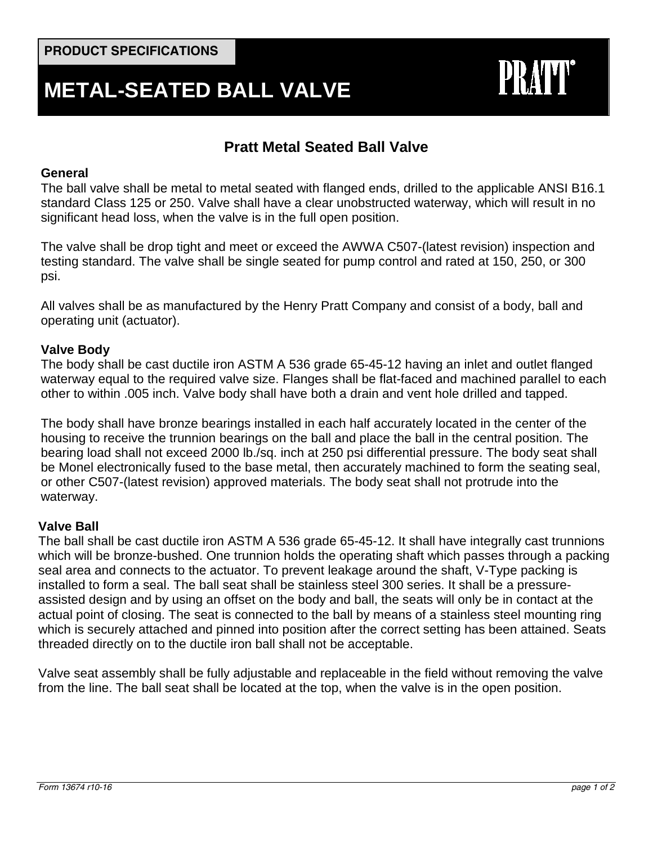# **METAL-SEATED BALL VALVE**



# **Pratt Metal Seated Ball Valve**

#### **General**

The ball valve shall be metal to metal seated with flanged ends, drilled to the applicable ANSI B16.1 standard Class 125 or 250. Valve shall have a clear unobstructed waterway, which will result in no significant head loss, when the valve is in the full open position.

The valve shall be drop tight and meet or exceed the AWWA C507-(latest revision) inspection and testing standard. The valve shall be single seated for pump control and rated at 150, 250, or 300 psi.

All valves shall be as manufactured by the Henry Pratt Company and consist of a body, ball and operating unit (actuator).

#### **Valve Body**

The body shall be cast ductile iron ASTM A 536 grade 65-45-12 having an inlet and outlet flanged waterway equal to the required valve size. Flanges shall be flat-faced and machined parallel to each other to within .005 inch. Valve body shall have both a drain and vent hole drilled and tapped.

The body shall have bronze bearings installed in each half accurately located in the center of the housing to receive the trunnion bearings on the ball and place the ball in the central position. The bearing load shall not exceed 2000 lb./sq. inch at 250 psi differential pressure. The body seat shall be Monel electronically fused to the base metal, then accurately machined to form the seating seal, or other C507-(latest revision) approved materials. The body seat shall not protrude into the waterway.

## **Valve Ball**

The ball shall be cast ductile iron ASTM A 536 grade 65-45-12. It shall have integrally cast trunnions which will be bronze-bushed. One trunnion holds the operating shaft which passes through a packing seal area and connects to the actuator. To prevent leakage around the shaft, V-Type packing is installed to form a seal. The ball seat shall be stainless steel 300 series. It shall be a pressureassisted design and by using an offset on the body and ball, the seats will only be in contact at the actual point of closing. The seat is connected to the ball by means of a stainless steel mounting ring which is securely attached and pinned into position after the correct setting has been attained. Seats threaded directly on to the ductile iron ball shall not be acceptable.

Valve seat assembly shall be fully adjustable and replaceable in the field without removing the valve from the line. The ball seat shall be located at the top, when the valve is in the open position.